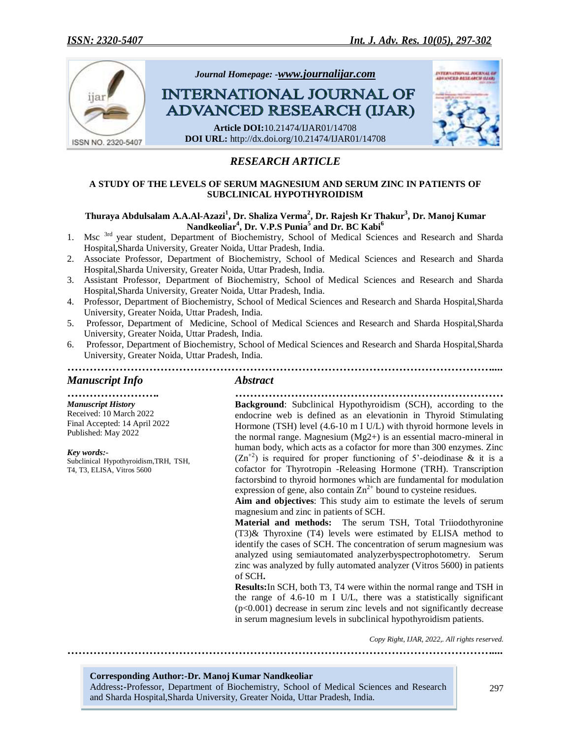

# *RESEARCH ARTICLE*

#### **A STUDY OF THE LEVELS OF SERUM MAGNESIUM AND SERUM ZINC IN PATIENTS OF SUBCLINICAL HYPOTHYROIDISM**

#### **Thuraya Abdulsalam A.A.Al-Azazi<sup>1</sup> , Dr. Shaliza Verma<sup>2</sup> , Dr. Rajesh Kr Thakur<sup>3</sup> , Dr. Manoj Kumar Nandkeoliar<sup>4</sup> , Dr. V.P.S Punia<sup>5</sup> and Dr. BC Kabi<sup>6</sup>**

- 1. Msc <sup>3rd</sup> year student, Department of Biochemistry, School of Medical Sciences and Research and Sharda Hospital,Sharda University, Greater Noida, Uttar Pradesh, India.
- 2. Associate Professor, Department of Biochemistry, School of Medical Sciences and Research and Sharda Hospital,Sharda University, Greater Noida, Uttar Pradesh, India.
- 3. Assistant Professor, Department of Biochemistry, School of Medical Sciences and Research and Sharda Hospital,Sharda University, Greater Noida, Uttar Pradesh, India.
- 4. Professor, Department of Biochemistry, School of Medical Sciences and Research and Sharda Hospital,Sharda University, Greater Noida, Uttar Pradesh, India.
- 5. Professor, Department of Medicine, School of Medical Sciences and Research and Sharda Hospital,Sharda University, Greater Noida, Uttar Pradesh, India.
- 6. Professor, Department of Biochemistry, School of Medical Sciences and Research and Sharda Hospital,Sharda University, Greater Noida, Uttar Pradesh, India. *……………………………………………………………………………………………………....*

# *Manuscript Info Abstract*

*……………………. ……………………………………………………………… Manuscript History* Received: 10 March 2022 Final Accepted: 14 April 2022 Published: May 2022

*Key words:-* Subclinical Hypothyroidism,TRH, TSH, T4, T3, ELISA, Vitros 5600

**Background**: Subclinical Hypothyroidism (SCH), according to the endocrine web is defined as an elevationin in Thyroid Stimulating Hormone (TSH) level (4.6-10 m I U/L) with thyroid hormone levels in the normal range. Magnesium (Mg2+) is an essential macro-mineral in human body, which acts as a cofactor for more than 300 enzymes. Zinc  $(Zn^{2})$  is required for proper functioning of 5'-deiodinase & it is a cofactor for Thyrotropin -Releasing Hormone (TRH). Transcription factorsbind to thyroid hormones which are fundamental for modulation expression of gene, also contain  $\text{Zn}^{2+}$  bound to cysteine residues.

**Aim and objectives**: This study aim to estimate the levels of serum magnesium and zinc in patients of SCH.

**Material and methods:** The serum TSH, Total Triiodothyronine (T3)& Thyroxine (T4) levels were estimated by ELISA method to identify the cases of SCH. The concentration of serum magnesium was analyzed using semiautomated analyzerbyspectrophotometry. Serum zinc was analyzed by fully automated analyzer (Vitros 5600) in patients of SCH**.** 

**Results:**In SCH, both T3, T4 were within the normal range and TSH in the range of 4.6-10 m I U/L, there was a statistically significant  $(p<0.001)$  decrease in serum zinc levels and not significantly decrease in serum magnesium levels in subclinical hypothyroidism patients.

*Copy Right, IJAR, 2022,. All rights reserved.*

*……………………………………………………………………………………………………....*

## **Corresponding Author:-Dr. Manoj Kumar Nandkeoliar**

Address**:-**Professor, Department of Biochemistry, School of Medical Sciences and Research and Sharda Hospital,Sharda University, Greater Noida, Uttar Pradesh, India.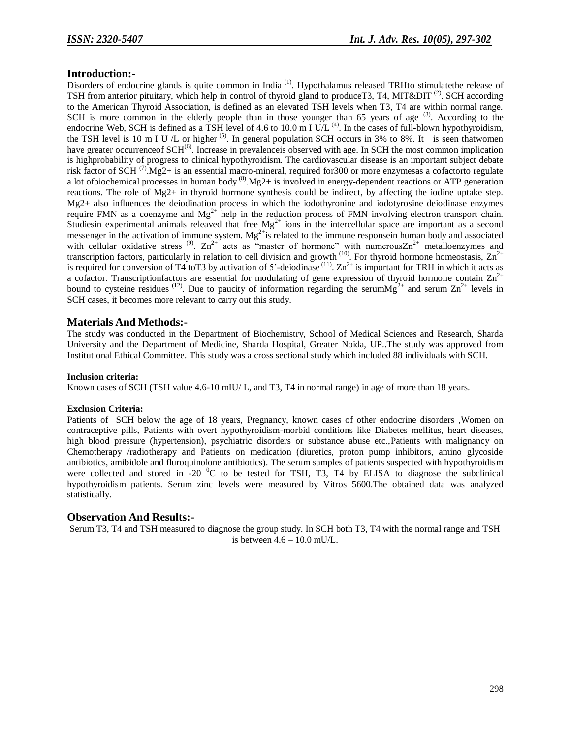#### **Introduction:-**

Disorders of endocrine glands is quite common in India<sup>(1)</sup>. Hypothalamus released TRHto stimulatethe release of TSH from anterior pituitary, which help in control of thyroid gland to produceT3, T4, MIT&DIT<sup>(2)</sup>. SCH according to the American Thyroid Association, is defined as an elevated TSH levels when T3, T4 are within normal range. SCH is more common in the elderly people than in those younger than 65 years of age  $(3)$ . According to the endocrine Web, SCH is defined as a TSH level of 4.6 to 10.0 m I U/L  $^{(4)}$ . In the cases of full-blown hypothyroidism, the TSH level is 10 m I U  $/L$  or higher  $(5)$ . In general population SCH occurs in 3% to 8%. It is seen thatwomen have greater occurrence of SCH<sup>(6)</sup>. Increase in prevalence is observed with age. In SCH the most common implication is highprobability of progress to clinical hypothyroidism. The cardiovascular disease is an important subject debate risk factor of SCH  $^{(7)}$ . Mg2+ is an essential macro-mineral, required for 300 or more enzymesas a cofactorto regulate a lot ofbiochemical processes in human body  $^{(8)}$ .Mg2+ is involved in energy-dependent reactions or ATP generation reactions. The role of Mg2+ in thyroid hormone synthesis could be indirect, by affecting the iodine uptake step. Mg2+ also influences the deiodination process in which the iodothyronine and iodotyrosine deiodinase enzymes require FMN as a coenzyme and  $Mg^{2+}$  help in the reduction process of FMN involving electron transport chain. Studiesin experimental animals releaved that free  $Mg^{2+}$  ions in the intercellular space are important as a second messenger in the activation of immune system. Mg<sup>2+</sup>is related to the immune responsein human body and associated with cellular oxidative stress <sup>(9)</sup>.  $\text{Zn}^{2+}$  acts as "master of hormone" with numerous $\text{Zn}^{2+}$  metalloenzymes and transcription factors, particularly in relation to cell division and growth  $(10)$ . For thyroid hormone homeostasis,  $Zn^{2+}$ is required for conversion of T4 toT3 by activation of 5'-deiodinase  $^{(11)}$ .  $\text{Zn}^{2+}$  is important for TRH in which it acts as a cofactor. Transcriptionfactors are essential for modulating of gene expression of thyroid hormone contain  $\text{Zn}^{2+}$ bound to cysteine residues <sup>(12)</sup>. Due to paucity of information regarding the serumMg<sup>2+</sup> and serum  $\text{Zn}^{2+}$  levels in SCH cases, it becomes more relevant to carry out this study.

#### **Materials And Methods:-**

The study was conducted in the Department of Biochemistry, School of Medical Sciences and Research, Sharda University and the Department of Medicine, Sharda Hospital, Greater Noida, UP..The study was approved from Institutional Ethical Committee. This study was a cross sectional study which included 88 individuals with SCH.

#### **Inclusion criteria:**

Known cases of SCH (TSH value 4.6-10 mIU/ L, and T3, T4 in normal range) in age of more than 18 years.

#### **Exclusion Criteria:**

Patients of SCH below the age of 18 years, Pregnancy, known cases of other endocrine disorders ,Women on contraceptive pills, Patients with overt hypothyroidism-morbid conditions like Diabetes mellitus, heart diseases, high blood pressure (hypertension), psychiatric disorders or substance abuse etc.,Patients with malignancy on Chemotherapy /radiotherapy and Patients on medication (diuretics, proton pump inhibitors, amino glycoside antibiotics, amibidole and fluroquinolone antibiotics). The serum samples of patients suspected with hypothyroidism were collected and stored in -20  $^{0}C$  to be tested for TSH, T3, T4 by ELISA to diagnose the subclinical hypothyroidism patients. Serum zinc levels were measured by Vitros 5600.The obtained data was analyzed statistically.

#### **Observation And Results:-**

Serum T3, T4 and TSH measured to diagnose the group study. In SCH both T3, T4 with the normal range and TSH is between  $4.6 - 10.0$  mU/L.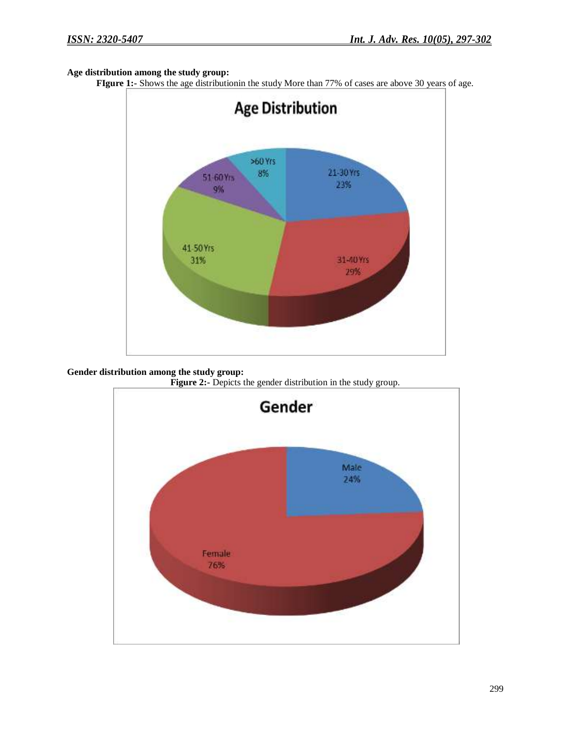## **Age distribution among the study group:**

**FIgure 1:-** Shows the age distributionin the study More than 77% of cases are above 30 years of age.



**Gender distribution among the study group:**

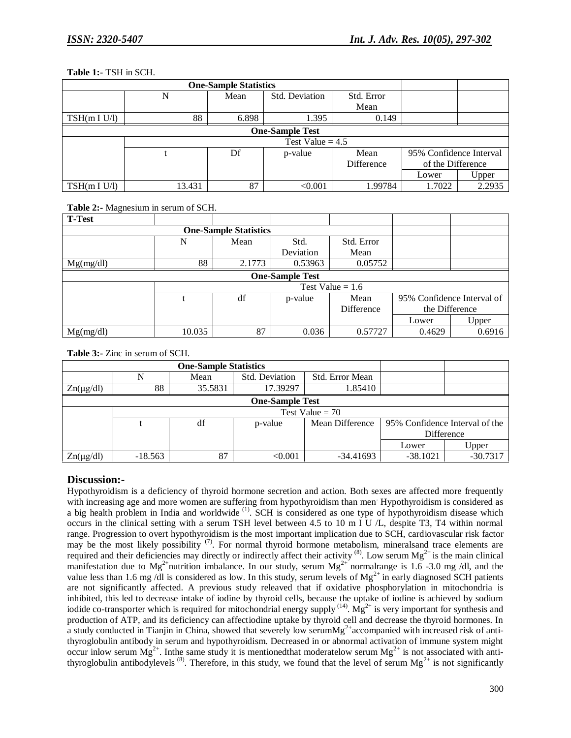#### **Table 1:-** TSH in SCH.

|              |                    | <b>One-Sample Statistics</b> |                        |            |                                              |        |
|--------------|--------------------|------------------------------|------------------------|------------|----------------------------------------------|--------|
|              |                    | Mean                         | Std. Deviation         | Std. Error |                                              |        |
|              |                    |                              |                        | Mean       |                                              |        |
| TSH(m I U/I) | 88                 | 6.898                        | 1.395                  | 0.149      |                                              |        |
|              |                    |                              | <b>One-Sample Test</b> |            |                                              |        |
|              | Test Value = $4.5$ |                              |                        |            |                                              |        |
|              |                    | Df                           | p-value                | Mean       | 95% Confidence Interval<br>of the Difference |        |
|              |                    |                              |                        | Difference |                                              |        |
|              |                    |                              |                        |            | Lower                                        | Upper  |
| TSH(m I U/I) | 13.431             | 87                           | < 0.001                | 1.99784    | 1.7022                                       | 2.2935 |

## **Table 2:-** Magnesium in serum of SCH.

| <b>T-Test</b>          |                    |        |           |            |                                              |        |  |
|------------------------|--------------------|--------|-----------|------------|----------------------------------------------|--------|--|
|                        |                    |        |           |            |                                              |        |  |
|                        | N                  | Mean   | Std.      | Std. Error |                                              |        |  |
|                        |                    |        | Deviation | Mean       |                                              |        |  |
| Mg(mg/dl)              | 88                 | 2.1773 | 0.53963   | 0.05752    |                                              |        |  |
| <b>One-Sample Test</b> |                    |        |           |            |                                              |        |  |
|                        | Test Value = $1.6$ |        |           |            |                                              |        |  |
|                        |                    | df     | p-value   | Mean       | 95% Confidence Interval of<br>the Difference |        |  |
|                        |                    |        |           | Difference |                                              |        |  |
|                        |                    |        |           |            | Lower                                        | Upper  |  |
| Mg(mg/dl)              | 10.035             | 87     | 0.036     | 0.57727    | 0.4629                                       | 0.6916 |  |

**Table 3:-** Zinc in serum of SCH.

| <b>One-Sample Statistics</b> |           |         |                |                 |                                |            |
|------------------------------|-----------|---------|----------------|-----------------|--------------------------------|------------|
|                              |           | Mean    | Std. Deviation | Std. Error Mean |                                |            |
| $Zn(\mu g/dl)$               | 88        | 35.5831 | 17.39297       | 1.85410         |                                |            |
| <b>One-Sample Test</b>       |           |         |                |                 |                                |            |
|                              |           |         |                |                 |                                |            |
|                              |           | df      | p-value        | Mean Difference | 95% Confidence Interval of the |            |
|                              |           |         |                |                 | Difference                     |            |
|                              |           |         |                |                 | Lower                          | Upper      |
| $Zn(\mu g/dl)$               | $-18.563$ | 87      | < 0.001        | $-34.41693$     | $-38.1021$                     | $-30.7317$ |

# **Discussion:-**

Hypothyroidism is a deficiency of thyroid hormone secretion and action. Both sexes are affected more frequently with increasing age and more women are suffering from hypothyroidism than men. Hypothyroidism is considered as a big health problem in India and worldwide<sup>(1)</sup>. SCH is considered as one type of hypothyroidism disease which occurs in the clinical setting with a serum TSH level between 4.5 to 10 m I U /L, despite T3, T4 within normal range. Progression to overt hypothyroidism is the most important implication due to SCH, cardiovascular risk factor may be the most likely possibility  $(7)$ . For normal thyroid hormone metabolism, mineralsand trace elements are required and their deficiencies may directly or indirectly affect their activity  $^{(8)}$ . Low serum Mg<sup>2+</sup> is the main clinical manifestation due to Mg<sup>2+</sup>nutrition imbalance. In our study, serum Mg<sup>2+</sup> normalrange is 1.6 -3.0 mg /dl, and the value less than 1.6 mg /dl is considered as low. In this study, serum levels of  $Mg^{2+}$  in early diagnosed SCH patients are not significantly affected. A previous study releaved that if oxidative phosphorylation in mitochondria is inhibited, this led to decrease intake of iodine by thyroid cells, because the uptake of iodine is achieved by sodium iodide co-transporter which is required for mitochondrial energy supply  $(14)$ . Mg<sup>2+</sup> is very important for synthesis and production of ATP, and its deficiency can affectiodine uptake by thyroid cell and decrease the thyroid hormones. In a study conducted in Tianjin in China, showed that severely low serumMg<sup>2+</sup>accompanied with increased risk of antithyroglobulin antibody in serum and hypothyroidism. Decreased in or abnormal activation of immune system might occur inlow serum  $Mg^{2+}$ . Inthe same study it is mentioned that moderatelow serum  $Mg^{2+}$  is not associated with antithyroglobulin antibodylevels  $^{(8)}$ . Therefore, in this study, we found that the level of serum  $Mg^{2+}$  is not significantly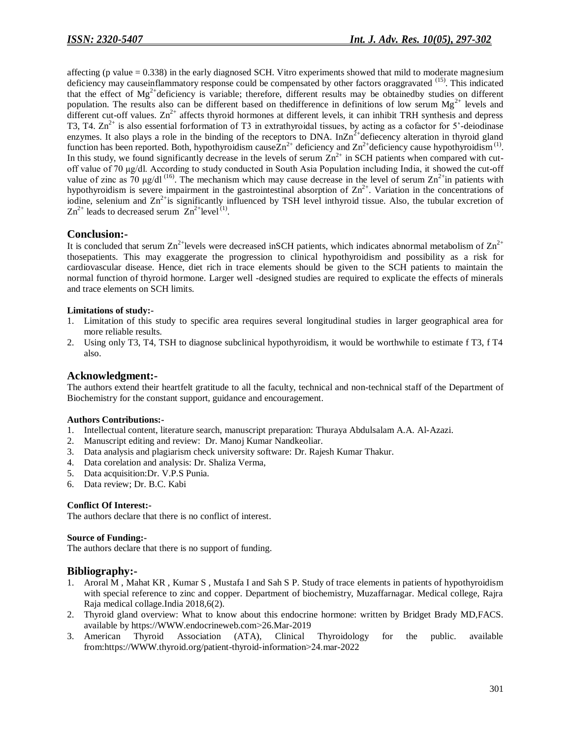affecting (p value = 0.338) in the early diagnosed SCH. Vitro experiments showed that mild to moderate magnesium deficiency may causeinflammatory response could be compensated by other factors oraggravated <sup>(15)</sup>. This indicated that the effect of Mg<sup>2+</sup>deficiency is variable; therefore, different results may be obtainedby studies on different population. The results also can be different based on the difference in definitions of low serum  $Mg^{2+}$  levels and different cut-off values.  $Zn^{2+}$  affects thyroid hormones at different levels, it can inhibit TRH synthesis and depress T3, T4.  $\text{Zn}^{2+}$  is also essential forformation of T3 in extrathyroidal tissues, by acting as a cofactor for 5'-deiodinase enzymes. It also plays a role in the binding of the receptors to DNA. In $Zn^2$ <sup>+</sup> defiecency alteration in thyroid gland function has been reported. Both, hypothyroidism cause $Zn^{2+}$  deficiency and  $Zn^{2+}$ deficiency cause hypothyroidism<sup>(1)</sup>. In this study, we found significantly decrease in the levels of serum  $Zn^{2+}$  in SCH patients when compared with cutoff value of 70 μg/dl. According to study conducted in South Asia Population including India, it showed the cut-off value of zinc as 70 µg/dl<sup>(16)</sup>. The mechanism which may cause decrease in the level of serum  $\text{Zn}^{2+}$ in patients with hypothyroidism is severe impairment in the gastrointestinal absorption of  $\text{Zn}^{2+}$ . Variation in the concentrations of iodine, selenium and  $\text{Zn}^{2+}$  is significantly influenced by TSH level inthyroid tissue. Also, the tubular excretion of  $\text{Zn}^{2+}$  leads to decreased serum  $\text{Zn}^{2+}$ level<sup>(1)</sup>.

## **Conclusion:-**

It is concluded that serum  $\text{Zn}^{2+}$ levels were decreased inSCH patients, which indicates abnormal metabolism of  $\text{Zn}^{2+}$ thosepatients. This may exaggerate the progression to clinical hypothyroidism and possibility as a risk for cardiovascular disease. Hence, diet rich in trace elements should be given to the SCH patients to maintain the normal function of thyroid hormone. Larger well -designed studies are required to explicate the effects of minerals and trace elements on SCH limits.

#### **Limitations of study:-**

- 1. Limitation of this study to specific area requires several longitudinal studies in larger geographical area for more reliable results.
- 2. Using only T3, T4, TSH to diagnose subclinical hypothyroidism, it would be worthwhile to estimate f T3, f T4 also.

## **Acknowledgment:-**

The authors extend their heartfelt gratitude to all the faculty, technical and non-technical staff of the Department of Biochemistry for the constant support, guidance and encouragement.

#### **Authors Contributions:-**

- 1. Intellectual content, literature search, manuscript preparation: Thuraya Abdulsalam A.A. Al-Azazi.
- 2. Manuscript editing and review: Dr. Manoj Kumar Nandkeoliar.
- 3. Data analysis and plagiarism check university software: Dr. Rajesh Kumar Thakur.
- 4. Data corelation and analysis: Dr. Shaliza Verma,
- 5. Data acquisition:Dr. V.P.S Punia.
- 6. Data review; Dr. B.C. Kabi

#### **Conflict Of Interest:-**

The authors declare that there is no conflict of interest.

#### **Source of Funding:-**

The authors declare that there is no support of funding.

#### **Bibliography:-**

- 1. Aroral M , Mahat KR , Kumar S , Mustafa I and Sah S P. Study of trace elements in patients of hypothyroidism with special reference to zinc and copper. Department of biochemistry, Muzaffarnagar. Medical college, Rajra Raja medical collage.India 2018,6(2).
- 2. Thyroid gland overview: What to know about this endocrine hormone: written by Bridget Brady MD,FACS. available by https://WWW.endocrineweb.com˃26.Mar-2019
- 3. American Thyroid Association (ATA), Clinical Thyroidology for the public. available from:https://WWW.thyroid.org/patient-thyroid-information>24.mar-2022